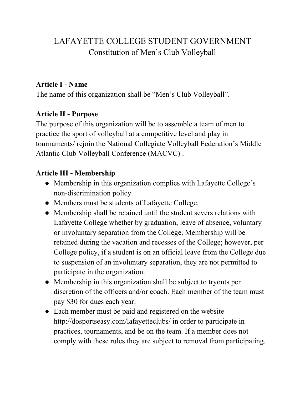# LAFAYETTE COLLEGE STUDENT GOVERNMENT Constitution of Men's Club Volleyball

#### **Article I - Name**

The name of this organization shall be "Men's Club Volleyball".

### **Article II - Purpose**

The purpose of this organization will be to assemble a team of men to practice the sport of volleyball at a competitive level and play in tournaments/ rejoin the National Collegiate Volleyball Federation's Middle Atlantic Club Volleyball Conference (MACVC) .

# **Article III - Membership**

- Membership in this organization complies with Lafayette College's non-discrimination policy.
- Members must be students of Lafayette College.
- Membership shall be retained until the student severs relations with Lafayette College whether by graduation, leave of absence, voluntary or involuntary separation from the College. Membership will be retained during the vacation and recesses of the College; however, per College policy, if a student is on an official leave from the College due to suspension of an involuntary separation, they are not permitted to participate in the organization.
- Membership in this organization shall be subject to tryouts per discretion of the officers and/or coach. Each member of the team must pay \$30 for dues each year.
- Each member must be paid and registered on the website http://dosportseasy.com/lafayetteclubs/ in order to participate in practices, tournaments, and be on the team. If a member does not comply with these rules they are subject to removal from participating.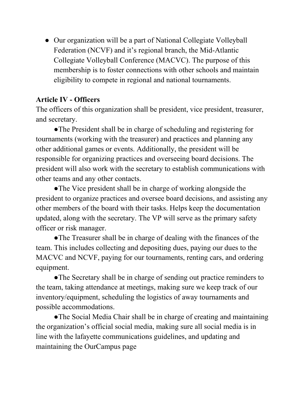• Our organization will be a part of National Collegiate Volleyball Federation (NCVF) and it's regional branch, the Mid-Atlantic Collegiate Volleyball Conference (MACVC). The purpose of this membership is to foster connections with other schools and maintain eligibility to compete in regional and national tournaments.

# **Article IV - Officers**

The officers of this organization shall be president, vice president, treasurer, and secretary.

●The President shall be in charge of scheduling and registering for tournaments (working with the treasurer) and practices and planning any other additional games or events. Additionally, the president will be responsible for organizing practices and overseeing board decisions. The president will also work with the secretary to establish communications with other teams and any other contacts.

●The Vice president shall be in charge of working alongside the president to organize practices and oversee board decisions, and assisting any other members of the board with their tasks. Helps keep the documentation updated, along with the secretary. The VP will serve as the primary safety officer or risk manager.

●The Treasurer shall be in charge of dealing with the finances of the team. This includes collecting and depositing dues, paying our dues to the MACVC and NCVF, paying for our tournaments, renting cars, and ordering equipment.

• The Secretary shall be in charge of sending out practice reminders to the team, taking attendance at meetings, making sure we keep track of our inventory/equipment, scheduling the logistics of away tournaments and possible accommodations.

●The Social Media Chair shall be in charge of creating and maintaining the organization's official social media, making sure all social media is in line with the lafayette communications guidelines, and updating and maintaining the OurCampus page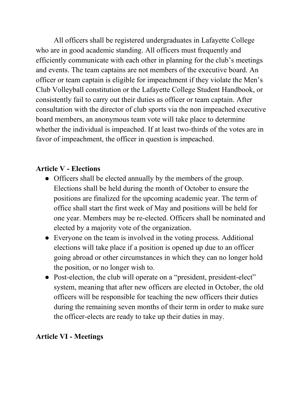All officers shall be registered undergraduates in Lafayette College who are in good academic standing. All officers must frequently and efficiently communicate with each other in planning for the club's meetings and events. The team captains are not members of the executive board. An officer or team captain is eligible for impeachment if they violate the Men's Club Volleyball constitution or the Lafayette College Student Handbook, or consistently fail to carry out their duties as officer or team captain. After consultation with the director of club sports via the non impeached executive board members, an anonymous team vote will take place to determine whether the individual is impeached. If at least two-thirds of the votes are in favor of impeachment, the officer in question is impeached.

#### **Article V - Elections**

- Officers shall be elected annually by the members of the group. Elections shall be held during the month of October to ensure the positions are finalized for the upcoming academic year. The term of office shall start the first week of May and positions will be held for one year. Members may be re-elected. Officers shall be nominated and elected by a majority vote of the organization.
- Everyone on the team is involved in the voting process. Additional elections will take place if a position is opened up due to an officer going abroad or other circumstances in which they can no longer hold the position, or no longer wish to.
- Post-election, the club will operate on a "president, president-elect" system, meaning that after new officers are elected in October, the old officers will be responsible for teaching the new officers their duties during the remaining seven months of their term in order to make sure the officer-elects are ready to take up their duties in may.

#### **Article VI - Meetings**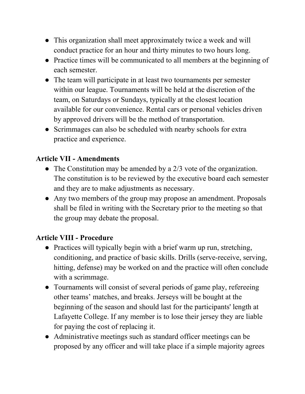- This organization shall meet approximately twice a week and will conduct practice for an hour and thirty minutes to two hours long.
- Practice times will be communicated to all members at the beginning of each semester.
- The team will participate in at least two tournaments per semester within our league. Tournaments will be held at the discretion of the team, on Saturdays or Sundays, typically at the closest location available for our convenience. Rental cars or personal vehicles driven by approved drivers will be the method of transportation.
- Scrimmages can also be scheduled with nearby schools for extra practice and experience.

### **Article VII - Amendments**

- The Constitution may be amended by a 2/3 vote of the organization. The constitution is to be reviewed by the executive board each semester and they are to make adjustments as necessary.
- Any two members of the group may propose an amendment. Proposals shall be filed in writing with the Secretary prior to the meeting so that the group may debate the proposal.

#### **Article VIII - Procedure**

- Practices will typically begin with a brief warm up run, stretching, conditioning, and practice of basic skills. Drills (serve-receive, serving, hitting, defense) may be worked on and the practice will often conclude with a scrimmage.
- Tournaments will consist of several periods of game play, refereeing other teams' matches, and breaks. Jerseys will be bought at the beginning of the season and should last for the participants' length at Lafayette College. If any member is to lose their jersey they are liable for paying the cost of replacing it.
- Administrative meetings such as standard officer meetings can be proposed by any officer and will take place if a simple majority agrees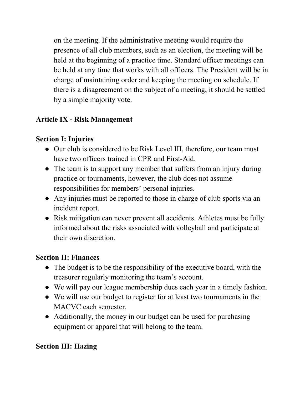on the meeting. If the administrative meeting would require the presence of all club members, such as an election, the meeting will be held at the beginning of a practice time. Standard officer meetings can be held at any time that works with all officers. The President will be in charge of maintaining order and keeping the meeting on schedule. If there is a disagreement on the subject of a meeting, it should be settled by a simple majority vote.

# **Article IX - Risk Management**

# **Section I: Injuries**

- Our club is considered to be Risk Level III, therefore, our team must have two officers trained in CPR and First-Aid.
- The team is to support any member that suffers from an injury during practice or tournaments, however, the club does not assume responsibilities for members' personal injuries.
- Any injuries must be reported to those in charge of club sports via an incident report.
- Risk mitigation can never prevent all accidents. Athletes must be fully informed about the risks associated with volleyball and participate at their own discretion.

#### **Section II: Finances**

- The budget is to be the responsibility of the executive board, with the treasurer regularly monitoring the team's account.
- We will pay our league membership dues each year in a timely fashion.
- We will use our budget to register for at least two tournaments in the MACVC each semester.
- Additionally, the money in our budget can be used for purchasing equipment or apparel that will belong to the team.

#### **Section III: Hazing**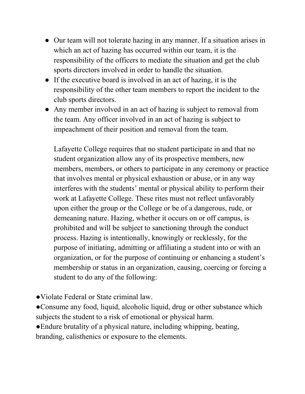- Our team will not tolerate hazing in any manner. If a situation arises in which an act of hazing has occurred within our team, it is the responsibility of the officers to mediate the situation and get the club sports directors involved in order to handle the situation.
- If the executive board is involved in an act of hazing, it is the responsibility of the other team members to report the incident to the club sports directors.
- Any member involved in an act of hazing is subject to removal from the team. Any officer involved in an act of hazing is subject to impeachment of their position and removal from the team.

Lafayette College requires that no student participate in and that no student organization allow any of its prospective members, new members, members, or others to participate in any ceremony or practice that involves mental or physical exhaustion or abuse, or in any way interferes with the students' mental or physical ability to perform their work at Lafayette College. These rites must not reflect unfavorably upon either the group or the College or be of a dangerous, rude, or demeaning nature. Hazing, whether it occurs on or off campus, is prohibited and will be subject to sanctioning through the conduct process. Hazing is intentionally, knowingly or recklessly, for the purpose of initiating, admitting or affiliating a student into or with an organization, or for the purpose of continuing or enhancing a student's membership or status in an organization, causing, coercing or forcing a student to do any of the following:

- ●Violate Federal or State criminal law.
- ●Consume any food, liquid, alcoholic liquid, drug or other substance which subjects the student to a risk of emotional or physical harm.
- ●Endure brutality of a physical nature, including whipping, beating, branding, calisthenics or exposure to the elements.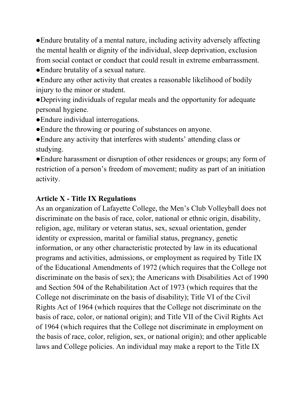●Endure brutality of a mental nature, including activity adversely affecting the mental health or dignity of the individual, sleep deprivation, exclusion from social contact or conduct that could result in extreme embarrassment.

●Endure brutality of a sexual nature.

●Endure any other activity that creates a reasonable likelihood of bodily injury to the minor or student.

●Depriving individuals of regular meals and the opportunity for adequate personal hygiene.

- ●Endure individual interrogations.
- ●Endure the throwing or pouring of substances on anyone.
- ●Endure any activity that interferes with students' attending class or studying.
- ●Endure harassment or disruption of other residences or groups; any form of restriction of a person's freedom of movement; nudity as part of an initiation activity.

# **Article X - Title IX Regulations**

As an organization of Lafayette College, the Men's Club Volleyball does not discriminate on the basis of race, color, national or ethnic origin, disability, religion, age, military or veteran status, sex, sexual orientation, gender identity or expression, marital or familial status, pregnancy, genetic information, or any other characteristic protected by law in its educational programs and activities, admissions, or employment as required by Title IX of the Educational Amendments of 1972 (which requires that the College not discriminate on the basis of sex); the Americans with Disabilities Act of 1990 and Section 504 of the Rehabilitation Act of 1973 (which requires that the College not discriminate on the basis of disability); Title VI of the Civil Rights Act of 1964 (which requires that the College not discriminate on the basis of race, color, or national origin); and Title VII of the Civil Rights Act of 1964 (which requires that the College not discriminate in employment on the basis of race, color, religion, sex, or national origin); and other applicable laws and College policies. An individual may make a report to the Title IX